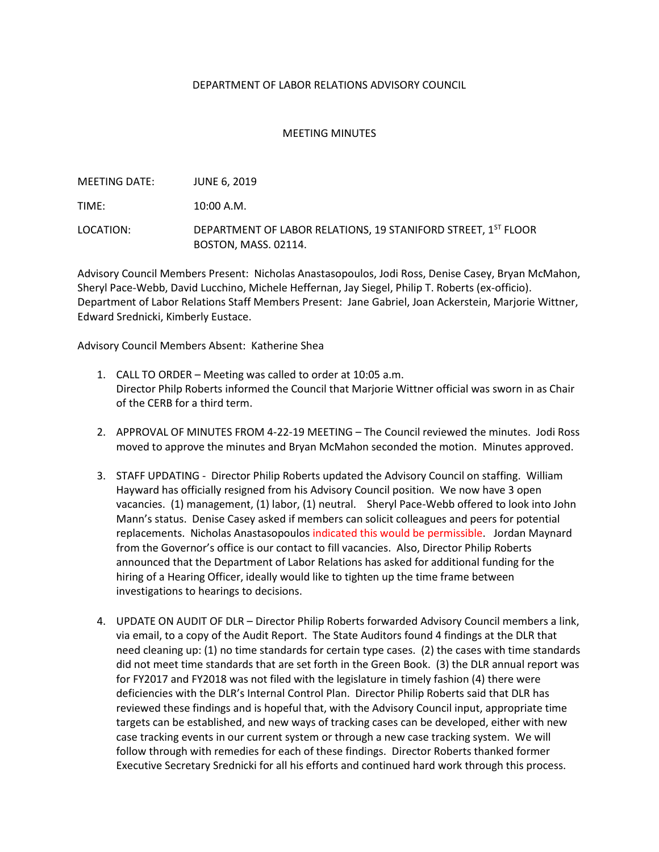## DEPARTMENT OF LABOR RELATIONS ADVISORY COUNCIL

## MEETING MINUTES

| MEETING DATE: | <b>JUNE 6. 2019</b>                                                                          |
|---------------|----------------------------------------------------------------------------------------------|
| TIME:         | 10:00 A.M.                                                                                   |
| LOCATION:     | DEPARTMENT OF LABOR RELATIONS, 19 STANIFORD STREET, 1ST FLOOR<br><b>BOSTON, MASS, 02114.</b> |

Advisory Council Members Present: Nicholas Anastasopoulos, Jodi Ross, Denise Casey, Bryan McMahon, Sheryl Pace-Webb, David Lucchino, Michele Heffernan, Jay Siegel, Philip T. Roberts (ex-officio). Department of Labor Relations Staff Members Present: Jane Gabriel, Joan Ackerstein, Marjorie Wittner, Edward Srednicki, Kimberly Eustace.

Advisory Council Members Absent: Katherine Shea

- 1. CALL TO ORDER Meeting was called to order at 10:05 a.m. Director Philp Roberts informed the Council that Marjorie Wittner official was sworn in as Chair of the CERB for a third term.
- 2. APPROVAL OF MINUTES FROM 4-22-19 MEETING The Council reviewed the minutes. Jodi Ross moved to approve the minutes and Bryan McMahon seconded the motion. Minutes approved.
- 3. STAFF UPDATING Director Philip Roberts updated the Advisory Council on staffing. William Hayward has officially resigned from his Advisory Council position. We now have 3 open vacancies. (1) management, (1) labor, (1) neutral. Sheryl Pace-Webb offered to look into John Mann's status. Denise Casey asked if members can solicit colleagues and peers for potential replacements. Nicholas Anastasopoulos indicated this would be permissible. Jordan Maynard from the Governor's office is our contact to fill vacancies. Also, Director Philip Roberts announced that the Department of Labor Relations has asked for additional funding for the hiring of a Hearing Officer, ideally would like to tighten up the time frame between investigations to hearings to decisions.
- 4. UPDATE ON AUDIT OF DLR Director Philip Roberts forwarded Advisory Council members a link, via email, to a copy of the Audit Report. The State Auditors found 4 findings at the DLR that need cleaning up: (1) no time standards for certain type cases. (2) the cases with time standards did not meet time standards that are set forth in the Green Book. (3) the DLR annual report was for FY2017 and FY2018 was not filed with the legislature in timely fashion (4) there were deficiencies with the DLR's Internal Control Plan. Director Philip Roberts said that DLR has reviewed these findings and is hopeful that, with the Advisory Council input, appropriate time targets can be established, and new ways of tracking cases can be developed, either with new case tracking events in our current system or through a new case tracking system. We will follow through with remedies for each of these findings. Director Roberts thanked former Executive Secretary Srednicki for all his efforts and continued hard work through this process.